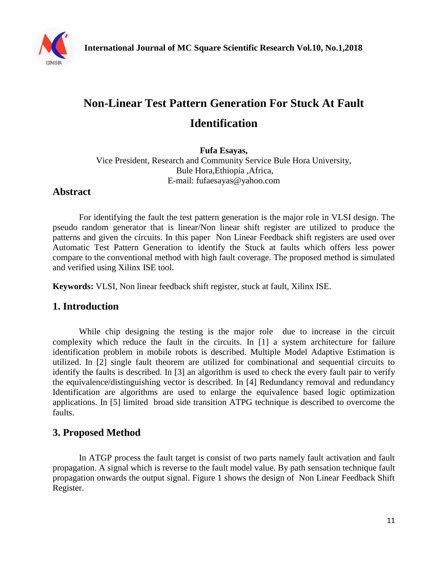

# **Non-Linear Test Pattern Generation For Stuck At Fault Identification**

**Fufa Esayas,** Vice President, Research and Community Service Bule Hora University, Bule Hora,Ethiopia ,Africa, E-mail: fufaesayas@yahoo.com

## **Abstract**

For identifying the fault the test pattern generation is the major role in VLSI design. The pseudo random generator that is linear/Non linear shift register are utilized to produce the patterns and given the circuits. In this paper Non Linear Feedback shift registers are used over Automatic Test Pattern Generation to identify the Stuck at faults which offers less power compare to the conventional method with high fault coverage. The proposed method is simulated and verified using Xilinx ISE tool.

**Keywords:** VLSI, Non linear feedback shift register, stuck at fault, Xilinx ISE.

### **1. Introduction**

While chip designing the testing is the major role due to increase in the circuit complexity which reduce the fault in the circuits. In [1] a system architecture for failure identification problem in mobile robots is described. Multiple Model Adaptive Estimation is utilized. In [2] single fault theorem are utilized for combinational and sequential circuits to identify the faults is described. In [3] an algorithm is used to check the every fault pair to verify the equivalence/distinguishing vector is described. In [4] Redundancy removal and redundancy Identification are algorithms are used to enlarge the equivalence based logic optimization applications. In [5] limited broad side transition ATPG technique is described to overcome the faults.

### **3. Proposed Method**

In ATGP process the fault target is consist of two parts namely fault activation and fault propagation. A signal which is reverse to the fault model value. By path sensation technique fault propagation onwards the output signal. Figure 1 shows the design of Non Linear Feedback Shift Register.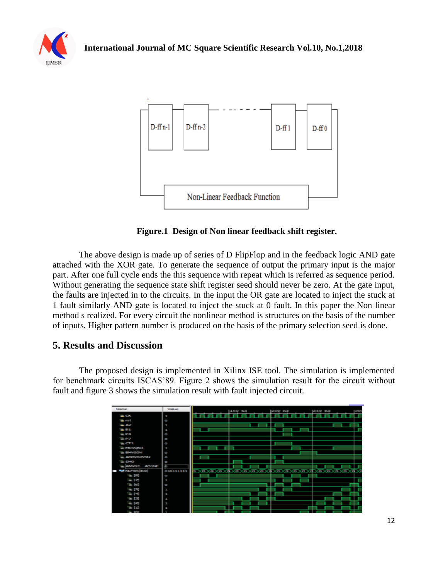





**Figure.1 Design of Non linear feedback shift register.**

The above design is made up of series of D FlipFlop and in the feedback logic AND gate attached with the XOR gate. To generate the sequence of output the primary input is the major part. After one full cycle ends the this sequence with repeat which is referred as sequence period. Without generating the sequence state shift register seed should never be zero. At the gate input, the faults are injected in to the circuits. In the input the OR gate are located to inject the stuck at 1 fault similarly AND gate is located to inject the stuck at 0 fault. In this paper the Non linear method s realized. For every circuit the nonlinear method is structures on the basis of the number of inputs. Higher pattern number is produced on the basis of the primary selection seed is done.

### **5. Results and Discussion**

The proposed design is implemented in Xilinx ISE tool. The simulation is implemented for benchmark circuits ISCAS'89. Figure 2 shows the simulation result for the circuit without fault and figure 3 shows the simulation result with fault injected circuit.

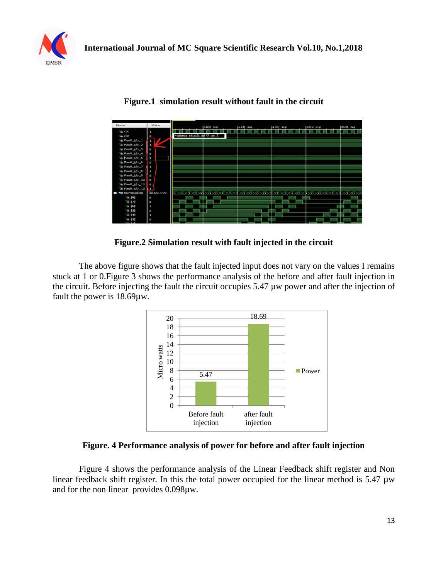



#### **Figure.1 simulation result without fault in the circuit**

#### **Figure.2 Simulation result with fault injected in the circuit**

The above figure shows that the fault injected input does not vary on the values I remains stuck at 1 or 0.Figure 3 shows the performance analysis of the before and after fault injection in the circuit. Before injecting the fault the circuit occupies 5.47 µw power and after the injection of fault the power is 18.69µw.



**Figure. 4 Performance analysis of power for before and after fault injection**

Figure 4 shows the performance analysis of the Linear Feedback shift register and Non linear feedback shift register. In this the total power occupied for the linear method is 5.47 µw and for the non linear provides 0.098µw.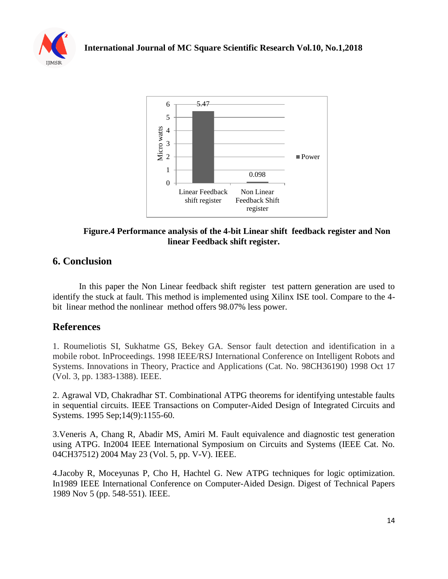



### **Figure.4 Performance analysis of the 4-bit Linear shift feedback register and Non linear Feedback shift register.**

## **6. Conclusion**

In this paper the Non Linear feedback shift register test pattern generation are used to identify the stuck at fault. This method is implemented using Xilinx ISE tool. Compare to the 4 bit linear method the nonlinear method offers 98.07% less power.

### **References**

1. Roumeliotis SI, Sukhatme GS, Bekey GA. Sensor fault detection and identification in a mobile robot. InProceedings. 1998 IEEE/RSJ International Conference on Intelligent Robots and Systems. Innovations in Theory, Practice and Applications (Cat. No. 98CH36190) 1998 Oct 17 (Vol. 3, pp. 1383-1388). IEEE.

2. Agrawal VD, Chakradhar ST. Combinational ATPG theorems for identifying untestable faults in sequential circuits. IEEE Transactions on Computer-Aided Design of Integrated Circuits and Systems. 1995 Sep;14(9):1155-60.

3.Veneris A, Chang R, Abadir MS, Amiri M. Fault equivalence and diagnostic test generation using ATPG. In2004 IEEE International Symposium on Circuits and Systems (IEEE Cat. No. 04CH37512) 2004 May 23 (Vol. 5, pp. V-V). IEEE.

4.Jacoby R, Moceyunas P, Cho H, Hachtel G. New ATPG techniques for logic optimization. In1989 IEEE International Conference on Computer-Aided Design. Digest of Technical Papers 1989 Nov 5 (pp. 548-551). IEEE.